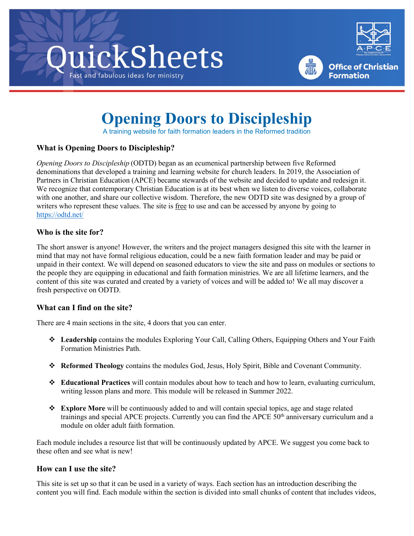





**Office of Christian** 

**Formation** 

# **Opening Doors to Discipleship**

A training website for faith formation leaders in the Reformed tradition

## **What is Opening Doors to Discipleship?**

*Opening Doors to Discipleship* (ODTD) began as an ecumenical partnership between five Reformed denominations that developed a training and learning website for church leaders. In 2019, the Association of Partners in Christian Education (APCE) became stewards of the website and decided to update and redesign it. We recognize that contemporary Christian Education is at its best when we listen to diverse voices, collaborate with one another, and share our collective wisdom. Therefore, the new ODTD site was designed by a group of writers who represent these values. The site is free to use and can be accessed by anyone by going to <https://odtd.net/>

## **Who is the site for?**

The short answer is anyone! However, the writers and the project managers designed this site with the learner in mind that may not have formal religious education, could be a new faith formation leader and may be paid or unpaid in their context. We will depend on seasoned educators to view the site and pass on modules or sections to the people they are equipping in educational and faith formation ministries. We are all lifetime learners, and the content of this site was curated and created by a variety of voices and will be added to! We all may discover a fresh perspective on ODTD.

#### **What can I find on the site?**

There are 4 main sections in the site, 4 doors that you can enter.

- **Leadership** contains the modules Exploring Your Call, Calling Others, Equipping Others and Your Faith Formation Ministries Path.
- **Reformed Theology** contains the modules God, Jesus, Holy Spirit, Bible and Covenant Community.
- **Educational Practices** will contain modules about how to teach and how to learn, evaluating curriculum, writing lesson plans and more. This module will be released in Summer 2022.
- **Explore More** will be continuously added to and will contain special topics, age and stage related trainings and special APCE projects. Currently you can find the APCE 50<sup>th</sup> anniversary curriculum and a module on older adult faith formation.

Each module includes a resource list that will be continuously updated by APCE. We suggest you come back to these often and see what is new!

#### **How can I use the site?**

This site is set up so that it can be used in a variety of ways. Each section has an introduction describing the content you will find. Each module within the section is divided into small chunks of content that includes videos,